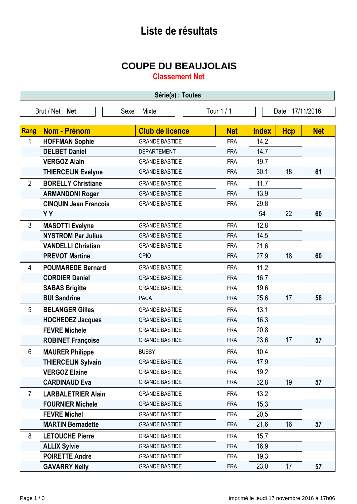## **Liste de résultats**

## **COUPE DU BEAUJOLAIS**

**Classement Net**

| Série(s) : Toutes |                              |                        |            |              |                  |            |  |
|-------------------|------------------------------|------------------------|------------|--------------|------------------|------------|--|
|                   | Brut / Net: Net              | Sexe: Mixte            | Tour 1 / 1 |              | Date: 17/11/2016 |            |  |
|                   |                              |                        |            |              |                  |            |  |
| Rang              | <b>Nom - Prénom</b>          | <b>Club de licence</b> | <b>Nat</b> | <b>Index</b> | <b>Hcp</b>       | <b>Net</b> |  |
| 1                 | <b>HOFFMAN Sophie</b>        | <b>GRANDE BASTIDE</b>  | <b>FRA</b> | 14,2         |                  |            |  |
|                   | <b>DELBET Daniel</b>         | <b>DEPARTEMENT</b>     | <b>FRA</b> | 14,7         |                  |            |  |
|                   | <b>VERGOZ Alain</b>          | <b>GRANDE BASTIDE</b>  | <b>FRA</b> | 19,7         |                  |            |  |
|                   | <b>THIERCELIN Evelyne</b>    | <b>GRANDE BASTIDE</b>  | <b>FRA</b> | 30,1         | 18               | 61         |  |
| $\overline{2}$    | <b>BORELLY Christiane</b>    | <b>GRANDE BASTIDE</b>  | <b>FRA</b> | 11,7         |                  |            |  |
|                   | <b>ARMANDONI Roger</b>       | <b>GRANDE BASTIDE</b>  | <b>FRA</b> | 13,9         |                  |            |  |
|                   | <b>CINQUIN Jean Francois</b> | <b>GRANDE BASTIDE</b>  | <b>FRA</b> | 29,8         |                  |            |  |
|                   | <b>YY</b>                    |                        |            | 54           | 22               | 60         |  |
| 3                 | <b>MASOTTI Evelyne</b>       | <b>GRANDE BASTIDE</b>  | <b>FRA</b> | 12,8         |                  |            |  |
|                   | <b>NYSTROM Per Julius</b>    | <b>GRANDE BASTIDE</b>  | <b>FRA</b> | 14,5         |                  |            |  |
|                   | <b>VANDELLI Christian</b>    | <b>GRANDE BASTIDE</b>  | <b>FRA</b> | 21,6         |                  |            |  |
|                   | <b>PREVOT Martine</b>        | <b>OPIO</b>            | <b>FRA</b> | 27,9         | 18               | 60         |  |
| 4                 | <b>POUMAREDE Bernard</b>     | <b>GRANDE BASTIDE</b>  | <b>FRA</b> | 11,2         |                  |            |  |
|                   | <b>CORDIER Daniel</b>        | <b>GRANDE BASTIDE</b>  | <b>FRA</b> | 16,7         |                  |            |  |
|                   | <b>SABAS Brigitte</b>        | <b>GRANDE BASTIDE</b>  | <b>FRA</b> | 19,6         |                  |            |  |
|                   | <b>BUI Sandrine</b>          | <b>PACA</b>            | <b>FRA</b> | 25,6         | 17               | 58         |  |
| 5                 | <b>BELANGER Gilles</b>       | <b>GRANDE BASTIDE</b>  | <b>FRA</b> | 13,1         |                  |            |  |
|                   | <b>HOCHEDEZ Jacques</b>      | <b>GRANDE BASTIDE</b>  | <b>FRA</b> | 16,3         |                  |            |  |
|                   | <b>FEVRE Michele</b>         | <b>GRANDE BASTIDE</b>  | <b>FRA</b> | 20,8         |                  |            |  |
|                   | <b>ROBINET Françoise</b>     | <b>GRANDE BASTIDE</b>  | <b>FRA</b> | 23,6         | 17               | 57         |  |
| 6                 | <b>MAURER Philippe</b>       | <b>BUSSY</b>           | <b>FRA</b> | 10,4         |                  |            |  |
|                   | <b>THIERCELIN Sylvain</b>    | <b>GRANDE BASTIDE</b>  | <b>FRA</b> | 17,9         |                  |            |  |
|                   | <b>VERGOZ Elaine</b>         | <b>GRANDE BASTIDE</b>  | <b>FRA</b> | 19,2         |                  |            |  |
|                   | <b>CARDINAUD Eva</b>         | <b>GRANDE BASTIDE</b>  | <b>FRA</b> | 32,8         | 19               | 57         |  |
| $\overline{7}$    | <b>LARBALETRIER Alain</b>    | <b>GRANDE BASTIDE</b>  | <b>FRA</b> | 13,2         |                  |            |  |
|                   | <b>FOURNIER Michele</b>      | <b>GRANDE BASTIDE</b>  | <b>FRA</b> | 15,3         |                  |            |  |
|                   | <b>FEVRE Michel</b>          | <b>GRANDE BASTIDE</b>  | <b>FRA</b> | 20,5         |                  |            |  |
|                   | <b>MARTIN Bernadette</b>     | <b>GRANDE BASTIDE</b>  | <b>FRA</b> | 21,6         | 16               | 57         |  |
| 8                 | <b>LETOUCHE Pierre</b>       | <b>GRANDE BASTIDE</b>  | <b>FRA</b> | 15,7         |                  |            |  |
|                   | <b>ALLIX Sylvie</b>          | <b>GRANDE BASTIDE</b>  | <b>FRA</b> | 16,9         |                  |            |  |
|                   | <b>POIRETTE Andre</b>        | <b>GRANDE BASTIDE</b>  | <b>FRA</b> | 19,3         |                  |            |  |
|                   | <b>GAVARRY Nelly</b>         | <b>GRANDE BASTIDE</b>  | <b>FRA</b> | 23,0         | 17               | 57         |  |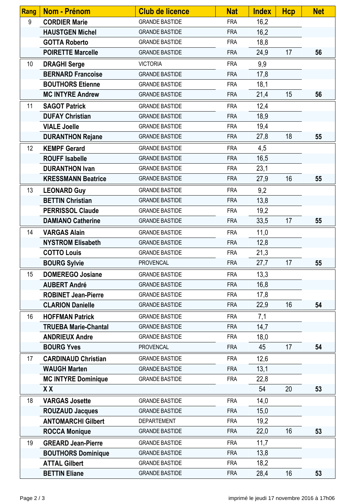| Rang | Nom - Prénom                | <b>Club de licence</b> | <b>Nat</b> | <b>Index</b> | <b>Hcp</b> | <b>Net</b> |
|------|-----------------------------|------------------------|------------|--------------|------------|------------|
| 9    | <b>CORDIER Marie</b>        | <b>GRANDE BASTIDE</b>  | <b>FRA</b> | 16,2         |            |            |
|      | <b>HAUSTGEN Michel</b>      | <b>GRANDE BASTIDE</b>  | <b>FRA</b> | 16,2         |            |            |
|      | <b>GOTTA Roberto</b>        | <b>GRANDE BASTIDE</b>  | <b>FRA</b> | 18,8         |            |            |
|      | <b>POIRETTE Marcelle</b>    | <b>GRANDE BASTIDE</b>  | <b>FRA</b> | 24,9         | 17         | 56         |
| 10   | <b>DRAGHI Serge</b>         | <b>VICTORIA</b>        | <b>FRA</b> | 9,9          |            |            |
|      | <b>BERNARD Francoise</b>    | <b>GRANDE BASTIDE</b>  | <b>FRA</b> | 17,8         |            |            |
|      | <b>BOUTHORS Etienne</b>     | <b>GRANDE BASTIDE</b>  | <b>FRA</b> | 18,1         |            |            |
|      | <b>MC INTYRE Andrew</b>     | <b>GRANDE BASTIDE</b>  | <b>FRA</b> | 21,4         | 15         | 56         |
| 11   | <b>SAGOT Patrick</b>        | <b>GRANDE BASTIDE</b>  | <b>FRA</b> | 12,4         |            |            |
|      | <b>DUFAY Christian</b>      | <b>GRANDE BASTIDE</b>  | <b>FRA</b> | 18,9         |            |            |
|      | <b>VIALE Joelle</b>         | <b>GRANDE BASTIDE</b>  | <b>FRA</b> | 19,4         |            |            |
|      | <b>DURANTHON Rejane</b>     | <b>GRANDE BASTIDE</b>  | <b>FRA</b> | 27,8         | 18         | 55         |
| 12   | <b>KEMPF Gerard</b>         | <b>GRANDE BASTIDE</b>  | <b>FRA</b> | 4,5          |            |            |
|      | <b>ROUFF Isabelle</b>       | <b>GRANDE BASTIDE</b>  | <b>FRA</b> | 16,5         |            |            |
|      | <b>DURANTHON Ivan</b>       | <b>GRANDE BASTIDE</b>  | <b>FRA</b> | 23,1         |            |            |
|      | <b>KRESSMANN Beatrice</b>   | <b>GRANDE BASTIDE</b>  | <b>FRA</b> | 27,9         | 16         | 55         |
| 13   | <b>LEONARD Guy</b>          | <b>GRANDE BASTIDE</b>  | <b>FRA</b> | 9,2          |            |            |
|      | <b>BETTIN Christian</b>     | <b>GRANDE BASTIDE</b>  | <b>FRA</b> | 13,8         |            |            |
|      | <b>PERRISSOL Claude</b>     | <b>GRANDE BASTIDE</b>  | <b>FRA</b> | 19,2         |            |            |
|      | <b>DAMIANO Catherine</b>    | <b>GRANDE BASTIDE</b>  | <b>FRA</b> | 33,5         | 17         | 55         |
| 14   | <b>VARGAS Alain</b>         | <b>GRANDE BASTIDE</b>  | <b>FRA</b> | 11,0         |            |            |
|      | <b>NYSTROM Elisabeth</b>    | <b>GRANDE BASTIDE</b>  | <b>FRA</b> | 12,8         |            |            |
|      | <b>COTTO Louis</b>          | <b>GRANDE BASTIDE</b>  | <b>FRA</b> | 21,3         |            |            |
|      | <b>BOURG Sylvie</b>         | <b>PROVENCAL</b>       | <b>FRA</b> | 27,7         | 17         | 55         |
| 15   | <b>DOMEREGO Josiane</b>     | <b>GRANDE BASTIDE</b>  | <b>FRA</b> | 13,3         |            |            |
|      | <b>AUBERT André</b>         | <b>GRANDE BASTIDE</b>  | <b>FRA</b> | 16,8         |            |            |
|      | <b>ROBINET Jean-Pierre</b>  | <b>GRANDE BASTIDE</b>  | <b>FRA</b> | 17,8         |            |            |
|      | <b>CLARION Danielle</b>     | <b>GRANDE BASTIDE</b>  | <b>FRA</b> | 22,9         | 16         | 54         |
| 16   | <b>HOFFMAN Patrick</b>      | <b>GRANDE BASTIDE</b>  | <b>FRA</b> | 7,1          |            |            |
|      | <b>TRUEBA Marie-Chantal</b> | <b>GRANDE BASTIDE</b>  | <b>FRA</b> | 14,7         |            |            |
|      | <b>ANDRIEUX Andre</b>       | <b>GRANDE BASTIDE</b>  | <b>FRA</b> | 18,0         |            |            |
|      | <b>BOURG Yves</b>           | <b>PROVENCAL</b>       | <b>FRA</b> | 45           | 17         | 54         |
| 17   | <b>CARDINAUD Christian</b>  | <b>GRANDE BASTIDE</b>  | <b>FRA</b> | 12,6         |            |            |
|      | <b>WAUGH Marten</b>         | <b>GRANDE BASTIDE</b>  | <b>FRA</b> | 13,1         |            |            |
|      | <b>MC INTYRE Dominique</b>  | <b>GRANDE BASTIDE</b>  | <b>FRA</b> | 22,8         |            |            |
|      | XX                          |                        |            | 54           | 20         | 53         |
| 18   | <b>VARGAS Josette</b>       | <b>GRANDE BASTIDE</b>  | <b>FRA</b> | 14,0         |            |            |
|      | <b>ROUZAUD Jacques</b>      | <b>GRANDE BASTIDE</b>  | <b>FRA</b> | 15,0         |            |            |
|      | <b>ANTOMARCHI Gilbert</b>   | <b>DEPARTEMENT</b>     | <b>FRA</b> | 19,2         |            |            |
|      | <b>ROCCA Monique</b>        | <b>GRANDE BASTIDE</b>  | <b>FRA</b> | 22,0         | 16         | 53         |
| 19   | <b>GREARD Jean-Pierre</b>   | <b>GRANDE BASTIDE</b>  | <b>FRA</b> | 11,7         |            |            |
|      | <b>BOUTHORS Dominique</b>   | <b>GRANDE BASTIDE</b>  | <b>FRA</b> | 13,8         |            |            |
|      | <b>ATTAL Gilbert</b>        | <b>GRANDE BASTIDE</b>  | <b>FRA</b> | 18,2         |            |            |
|      | <b>BETTIN Eliane</b>        | <b>GRANDE BASTIDE</b>  | <b>FRA</b> | 28,4         | 16         | 53         |